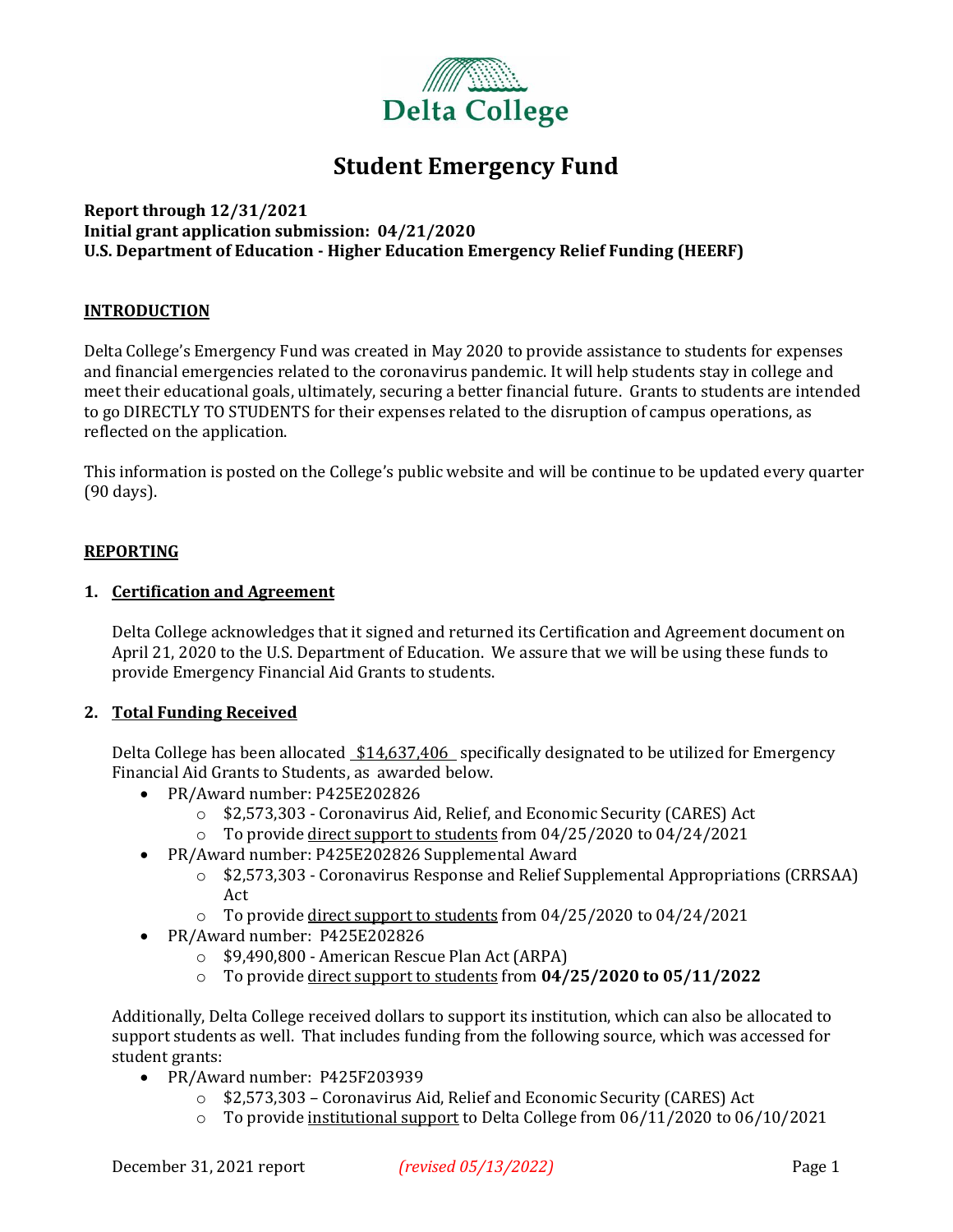

## **Student Emergency Fund**

#### **Report through 12/31/2021 Initial grant application submission: 04/21/2020 U.S. Department of Education - Higher Education Emergency Relief Funding (HEERF)**

#### **INTRODUCTION**

Delta College's Emergency Fund was created in May 2020 to provide assistance to students for expenses and financial emergencies related to the coronavirus pandemic. It will help students stay in college and meet their educational goals, ultimately, securing a better financial future. Grants to students are intended to go DIRECTLY TO STUDENTS for their expenses related to the disruption of campus operations, as reflected on the application.

This information is posted on the College's public website and will be continue to be updated every quarter (90 days).

#### **REPORTING**

#### **1. Certification and Agreement**

Delta College acknowledges that it signed and returned its Certification and Agreement document on April 21, 2020 to the U.S. Department of Education. We assure that we will be using these funds to provide Emergency Financial Aid Grants to students.

#### **2. Total Funding Received**

Delta College has been allocated \$14,637,406 specifically designated to be utilized for Emergency Financial Aid Grants to Students, as awarded below.

- PR/Award number: P425E202826
	- o \$2,573,303 Coronavirus Aid, Relief, and Economic Security (CARES) Act
	- $\circ$  To provide direct support to students from 04/25/2020 to 04/24/2021
- PR/Award number: P425E202826 Supplemental Award
	- $\circ$  \$2,573,303 Coronavirus Response and Relief Supplemental Appropriations (CRRSAA) Act
	- o To provide direct support to students from 04/25/2020 to 04/24/2021
- PR/Award number: P425E202826
	- o \$9,490,800 American Rescue Plan Act (ARPA)
	- o To provide direct support to students from **04/25/2020 to 05/11/2022**

Additionally, Delta College received dollars to support its institution, which can also be allocated to support students as well. That includes funding from the following source, which was accessed for student grants:

- PR/Award number: P425F203939
	- o \$2,573,303 Coronavirus Aid, Relief and Economic Security (CARES) Act
	- $\circ$  To provide institutional support to Delta College from 06/11/2020 to 06/10/2021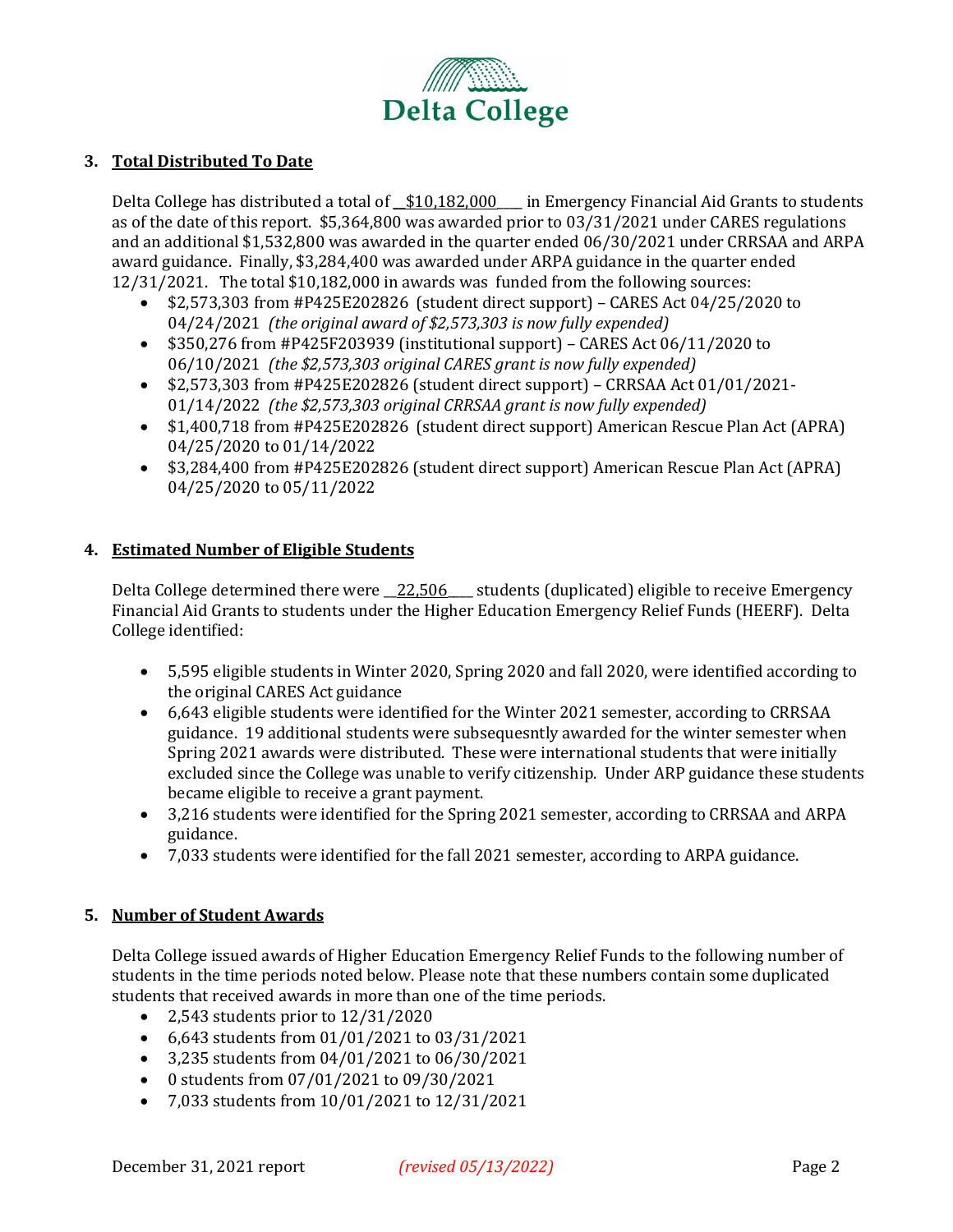

#### **3. Total Distributed To Date**

Delta College has distributed a total of  $$10,182,000$  in Emergency Financial Aid Grants to students as of the date of this report. \$5,364,800 was awarded prior to 03/31/2021 under CARES regulations and an additional \$1,532,800 was awarded in the quarter ended 06/30/2021 under CRRSAA and ARPA award guidance. Finally, \$3,284,400 was awarded under ARPA guidance in the quarter ended 12/31/2021. The total \$10,182,000 in awards was funded from the following sources:

- \$2,573,303 from #P425E202826 (student direct support) CARES Act 04/25/2020 to 04/24/2021 *(the original award of \$2,573,303 is now fully expended)*
- \$350,276 from #P425F203939 (institutional support) CARES Act 06/11/2020 to 06/10/2021 *(the \$2,573,303 original CARES grant is now fully expended)*
- $$2,573,303$  from #P425E202826 (student direct support) CRRSAA Act 01/01/2021-01/14/2022 *(the \$2,573,303 original CRRSAA grant is now fully expended)*
- \$1,400,718 from #P425E202826 (student direct support) American Rescue Plan Act (APRA) 04/25/2020 to 01/14/2022
- \$3,284,400 from #P425E202826 (student direct support) American Rescue Plan Act (APRA) 04/25/2020 to 05/11/2022

#### **4. Estimated Number of Eligible Students**

Delta College determined there were \_22,506 \_\_ students (duplicated) eligible to receive Emergency Financial Aid Grants to students under the Higher Education Emergency Relief Funds (HEERF). Delta College identified:

- 5,595 eligible students in Winter 2020, Spring 2020 and fall 2020, were identified according to the original CARES Act guidance
- 6,643 eligible students were identified for the Winter 2021 semester, according to CRRSAA guidance. 19 additional students were subsequesntly awarded for the winter semester when Spring 2021 awards were distributed. These were international students that were initially excluded since the College was unable to verify citizenship. Under ARP guidance these students became eligible to receive a grant payment.
- 3,216 students were identified for the Spring 2021 semester, according to CRRSAA and ARPA guidance.
- 7,033 students were identified for the fall 2021 semester, according to ARPA guidance.

#### **5. Number of Student Awards**

Delta College issued awards of Higher Education Emergency Relief Funds to the following number of students in the time periods noted below. Please note that these numbers contain some duplicated students that received awards in more than one of the time periods.

- 2,543 students prior to 12/31/2020
- 6,643 students from 01/01/2021 to 03/31/2021
- 3,235 students from 04/01/2021 to 06/30/2021
- 0 students from 07/01/2021 to 09/30/2021
- 7,033 students from 10/01/2021 to 12/31/2021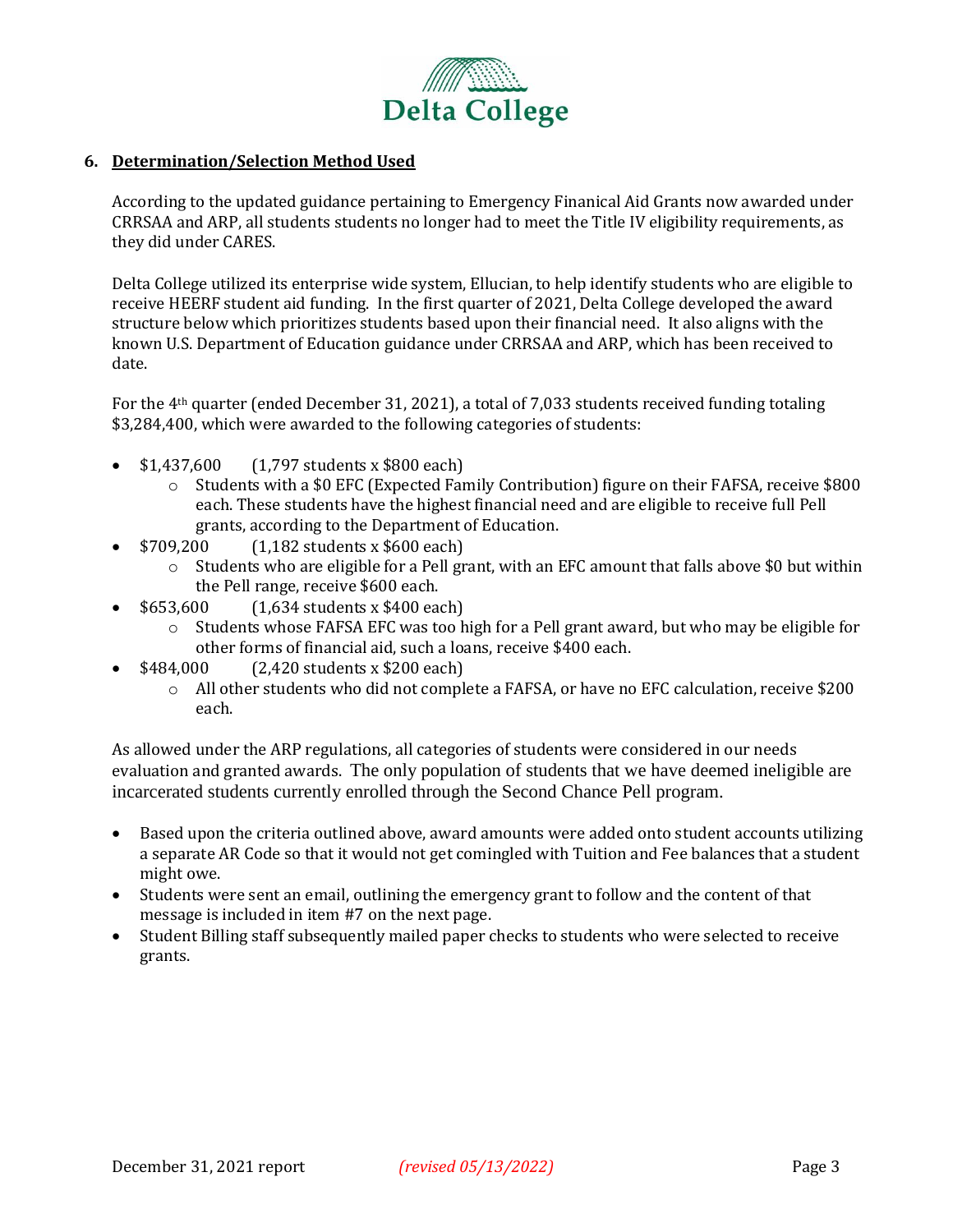

#### **6. Determination/Selection Method Used**

According to the updated guidance pertaining to Emergency Finanical Aid Grants now awarded under CRRSAA and ARP, all students students no longer had to meet the Title IV eligibility requirements, as they did under CARES.

Delta College utilized its enterprise wide system, Ellucian, to help identify students who are eligible to receive HEERF student aid funding. In the first quarter of 2021, Delta College developed the award structure below which prioritizes students based upon their financial need. It also aligns with the known U.S. Department of Education guidance under CRRSAA and ARP, which has been received to date.

For the 4th quarter (ended December 31, 2021), a total of 7,033 students received funding totaling \$3,284,400, which were awarded to the following categories of students:

- \$1,437,600 (1,797 students x \$800 each)
	- o Students with a \$0 EFC (Expected Family Contribution) figure on their FAFSA, receive \$800 each. These students have the highest financial need and are eligible to receive full Pell grants, according to the Department of Education.
- \$709,200 (1,182 students x \$600 each)
	- $\circ$  Students who are eligible for a Pell grant, with an EFC amount that falls above \$0 but within the Pell range, receive \$600 each.
	- \$653,600 (1,634 students x \$400 each)
		- o Students whose FAFSA EFC was too high for a Pell grant award, but who may be eligible for other forms of financial aid, such a loans, receive \$400 each.
- \$484,000 (2,420 students x \$200 each)
	- o All other students who did not complete a FAFSA, or have no EFC calculation, receive \$200 each.

As allowed under the ARP regulations, all categories of students were considered in our needs evaluation and granted awards. The only population of students that we have deemed ineligible are incarcerated students currently enrolled through the Second Chance Pell program.

- Based upon the criteria outlined above, award amounts were added onto student accounts utilizing a separate AR Code so that it would not get comingled with Tuition and Fee balances that a student might owe.
- Students were sent an email, outlining the emergency grant to follow and the content of that message is included in item #7 on the next page.
- Student Billing staff subsequently mailed paper checks to students who were selected to receive grants.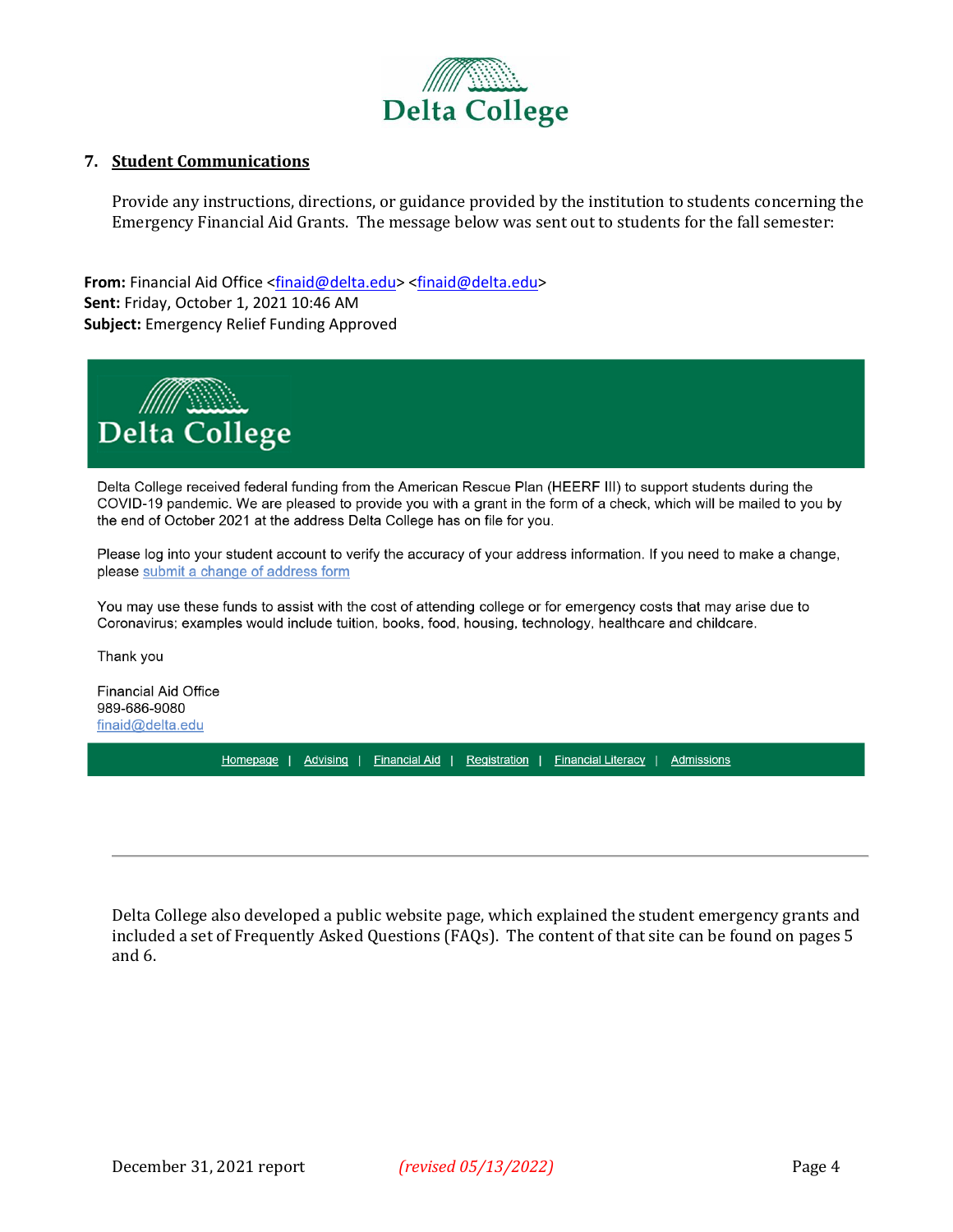

#### **7. Student Communications**

Provide any instructions, directions, or guidance provided by the institution to students concerning the Emergency Financial Aid Grants. The message below was sent out to students for the fall semester:

**From:** Financial Aid Office [<finaid@delta.edu>](mailto:finaid@delta.edu) [<finaid@delta.edu>](mailto:finaid@delta.edu) **Sent:** Friday, October 1, 2021 10:46 AM **Subject:** Emergency Relief Funding Approved



Delta College received federal funding from the American Rescue Plan (HEERF III) to support students during the COVID-19 pandemic. We are pleased to provide you with a grant in the form of a check, which will be mailed to you by the end of October 2021 at the address Delta College has on file for you.

Please log into your student account to verify the accuracy of your address information. If you need to make a change, please submit a change of address form

You may use these funds to assist with the cost of attending college or for emergency costs that may arise due to Coronavirus; examples would include tuition, books, food, housing, technology, healthcare and childcare.

Thank you

**Financial Aid Office** 989-686-9080 finaid@delta.edu

Homepage | Advising | Financial Aid | Registration | Financial Literacy | Admissions

Delta College also developed a public website page, which explained the student emergency grants and included a set of Frequently Asked Questions (FAQs). The content of that site can be found on pages 5 and 6.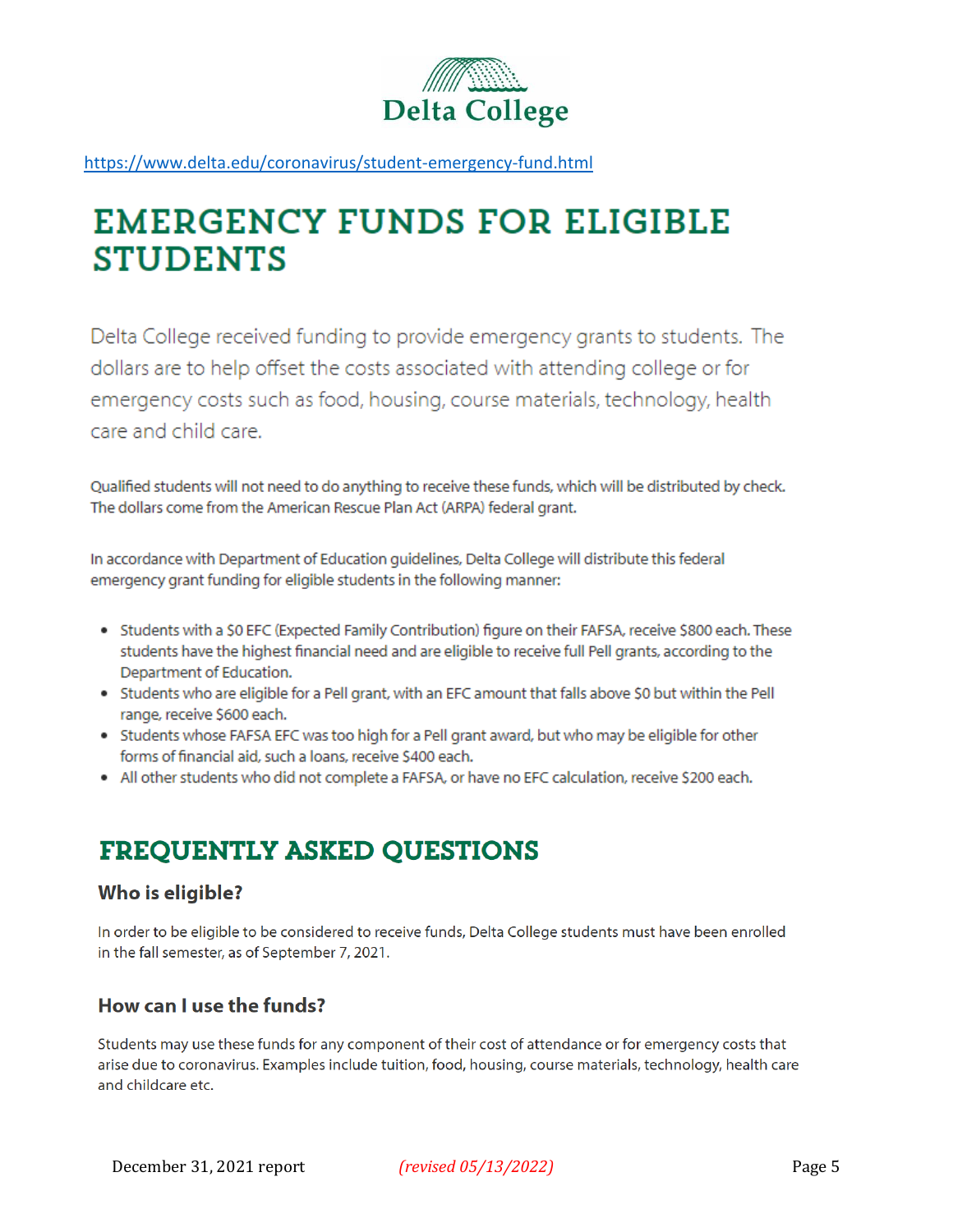

https://www.delta.edu/coronavirus/student-emergency-fund.html

# **EMERGENCY FUNDS FOR ELIGIBLE STUDENTS**

Delta College received funding to provide emergency grants to students. The dollars are to help offset the costs associated with attending college or for emergency costs such as food, housing, course materials, technology, health care and child care.

Qualified students will not need to do anything to receive these funds, which will be distributed by check. The dollars come from the American Rescue Plan Act (ARPA) federal grant.

In accordance with Department of Education guidelines, Delta College will distribute this federal emergency grant funding for eligible students in the following manner:

- Students with a \$0 EFC (Expected Family Contribution) figure on their FAFSA, receive \$800 each. These students have the highest financial need and are eligible to receive full Pell grants, according to the Department of Education.
- Students who are eligible for a Pell grant, with an EFC amount that falls above \$0 but within the Pell range, receive \$600 each.
- Students whose FAFSA EFC was too high for a Pell grant award, but who may be eligible for other forms of financial aid, such a loans, receive \$400 each.
- . All other students who did not complete a FAFSA, or have no EFC calculation, receive \$200 each.

## **FREQUENTLY ASKED QUESTIONS**

## Who is eligible?

In order to be eligible to be considered to receive funds, Delta College students must have been enrolled in the fall semester, as of September 7, 2021.

## How can I use the funds?

Students may use these funds for any component of their cost of attendance or for emergency costs that arise due to coronavirus. Examples include tuition, food, housing, course materials, technology, health care and childcare etc.